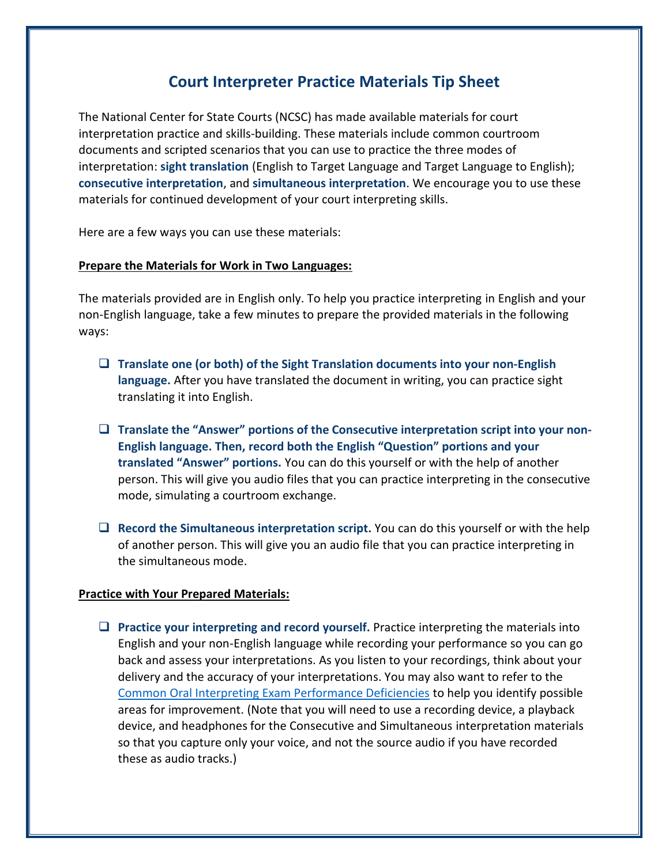## **Court Interpreter Practice Materials Tip Sheet**

The National Center for State Courts (NCSC) has made available materials for court interpretation practice and skills-building. These materials include common courtroom documents and scripted scenarios that you can use to practice the three modes of interpretation: **sight translation** (English to Target Language and Target Language to English); **consecutive interpretation**, and **simultaneous interpretation**. We encourage you to use these materials for continued development of your court interpreting skills.

Here are a few ways you can use these materials:

## **Prepare the Materials for Work in Two Languages:**

The materials provided are in English only. To help you practice interpreting in English and your non-English language, take a few minutes to prepare the provided materials in the following ways:

- ❑ **Translate one (or both) of the Sight Translation documents into your non-English language.** After you have translated the document in writing, you can practice sight translating it into English.
- ❑ **Translate the "Answer" portions of the Consecutive interpretation script into your non-English language. Then, record both the English "Question" portions and your translated "Answer" portions.** You can do this yourself or with the help of another person. This will give you audio files that you can practice interpreting in the consecutive mode, simulating a courtroom exchange.
- ❑ **Record the Simultaneous interpretation script.** You can do this yourself or with the help of another person. This will give you an audio file that you can practice interpreting in the simultaneous mode.

## **Practice with Your Prepared Materials:**

❑ **Practice your interpreting and record yourself.** Practice interpreting the materials into English and your non-English language while recording your performance so you can go back and assess your interpretations. As you listen to your recordings, think about your delivery and the accuracy of your interpretations. You may also want to refer to the [Common Oral Interpreting Exam Performance Deficiencies](https://www.ncsc.org/__data/assets/pdf_file/0025/19294/commonoralexamdeficienciesfinal22415.pdf) to help you identify possible areas for improvement. (Note that you will need to use a recording device, a playback device, and headphones for the Consecutive and Simultaneous interpretation materials so that you capture only your voice, and not the source audio if you have recorded these as audio tracks.)